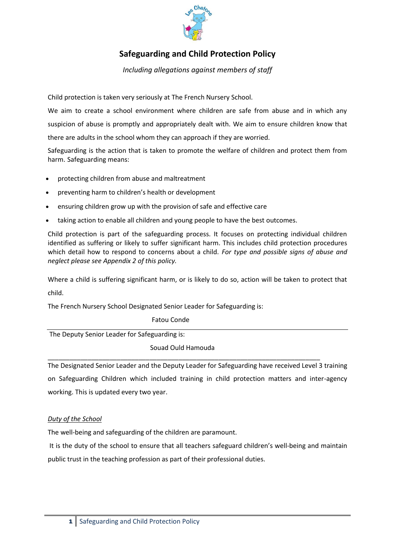

# **Safeguarding and Child Protection Policy**

*Including allegations against members of staff*

Child protection is taken very seriously at The French Nursery School.

We aim to create a school environment where children are safe from abuse and in which any suspicion of abuse is promptly and appropriately dealt with. We aim to ensure children know that there are adults in the school whom they can approach if they are worried.

Safeguarding is the action that is taken to promote the welfare of children and protect them from harm. Safeguarding means:

- protecting children from abuse and maltreatment
- preventing harm to children's health or development
- ensuring children grow up with the provision of safe and effective care
- taking action to enable all children and young people to have the best outcomes.

Child protection is part of the safeguarding process. It focuses on protecting individual children identified as suffering or likely to suffer significant harm. This includes child protection procedures which detail how to respond to concerns about a child. *For type and possible signs of abuse and neglect please see Appendix 2 of this policy.*

Where a child is suffering significant harm, or is likely to do so, action will be taken to protect that child.

The French Nursery School Designated Senior Leader for Safeguarding is:

#### Fatou Conde

The Deputy Senior Leader for Safeguarding is:

## Souad Ould Hamouda \_\_\_\_\_\_\_\_\_\_\_\_\_\_\_\_\_\_\_\_\_\_\_\_\_\_\_\_\_\_\_\_\_\_\_\_\_\_\_\_\_\_\_\_\_\_\_\_\_\_\_\_\_\_\_\_\_\_\_\_\_\_\_\_\_\_\_\_\_\_\_\_\_\_\_

The Designated Senior Leader and the Deputy Leader for Safeguarding have received Level 3 training on Safeguarding Children which included training in child protection matters and inter-agency working. This is updated every two year.

#### *Duty of the School*

The well-being and safeguarding of the children are paramount.

It is the duty of the school to ensure that all teachers safeguard children's well-being and maintain public trust in the teaching profession as part of their professional duties.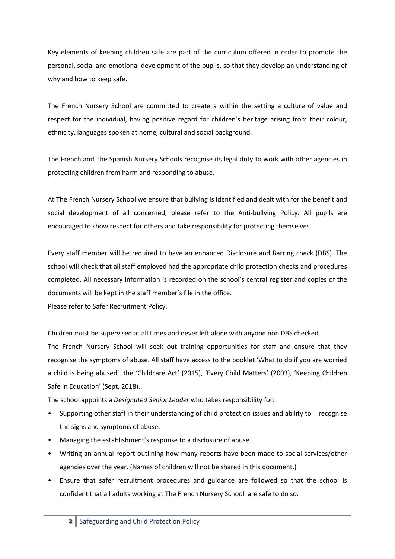Key elements of keeping children safe are part of the curriculum offered in order to promote the personal, social and emotional development of the pupils, so that they develop an understanding of why and how to keep safe.

The French Nursery School are committed to create a within the setting a culture of value and respect for the individual, having positive regard for children's heritage arising from their colour, ethnicity, languages spoken at home, cultural and social background.

The French and The Spanish Nursery Schools recognise its legal duty to work with other agencies in protecting children from harm and responding to abuse.

At The French Nursery School we ensure that bullying is identified and dealt with for the benefit and social development of all concerned, please refer to the Anti-bullying Policy. All pupils are encouraged to show respect for others and take responsibility for protecting themselves.

Every staff member will be required to have an enhanced Disclosure and Barring check (DBS). The school will check that all staff employed had the appropriate child protection checks and procedures completed. All necessary information is recorded on the school's central register and copies of the documents will be kept in the staff member's file in the office.

Please refer to Safer Recruitment Policy.

Children must be supervised at all times and never left alone with anyone non DBS checked.

The French Nursery School will seek out training opportunities for staff and ensure that they recognise the symptoms of abuse. All staff have access to the booklet 'What to do if you are worried a child is being abused', the 'Childcare Act' (2015), 'Every Child Matters' (2003), 'Keeping Children Safe in Education' (Sept. 2018).

The school appoints a *Designated Senior Leader* who takes responsibility for:

- Supporting other staff in their understanding of child protection issues and ability to recognise the signs and symptoms of abuse.
- Managing the establishment's response to a disclosure of abuse.
- Writing an annual report outlining how many reports have been made to social services/other agencies over the year. (Names of children will not be shared in this document.)
- Ensure that safer recruitment procedures and guidance are followed so that the school is confident that all adults working at The French Nursery School are safe to do so.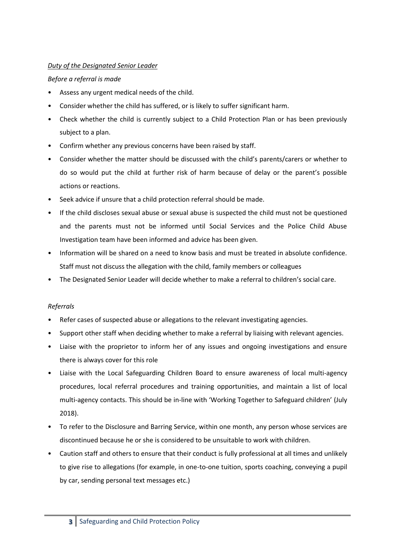# *Duty of the Designated Senior Leader*

# *Before a referral is made*

- Assess any urgent medical needs of the child.
- Consider whether the child has suffered, or is likely to suffer significant harm.
- Check whether the child is currently subject to a Child Protection Plan or has been previously subject to a plan.
- Confirm whether any previous concerns have been raised by staff.
- Consider whether the matter should be discussed with the child's parents/carers or whether to do so would put the child at further risk of harm because of delay or the parent's possible actions or reactions.
- Seek advice if unsure that a child protection referral should be made.
- If the child discloses sexual abuse or sexual abuse is suspected the child must not be questioned and the parents must not be informed until Social Services and the Police Child Abuse Investigation team have been informed and advice has been given.
- Information will be shared on a need to know basis and must be treated in absolute confidence. Staff must not discuss the allegation with the child, family members or colleagues
- The Designated Senior Leader will decide whether to make a referral to children's social care.

# *Referrals*

- Refer cases of suspected abuse or allegations to the relevant investigating agencies.
- Support other staff when deciding whether to make a referral by liaising with relevant agencies.
- Liaise with the proprietor to inform her of any issues and ongoing investigations and ensure there is always cover for this role
- Liaise with the Local Safeguarding Children Board to ensure awareness of local multi-agency procedures, local referral procedures and training opportunities, and maintain a list of local multi-agency contacts. This should be in-line with 'Working Together to Safeguard children' (July 2018).
- To refer to the Disclosure and Barring Service, within one month, any person whose services are discontinued because he or she is considered to be unsuitable to work with children.
- Caution staff and others to ensure that their conduct is fully professional at all times and unlikely to give rise to allegations (for example, in one-to-one tuition, sports coaching, conveying a pupil by car, sending personal text messages etc.)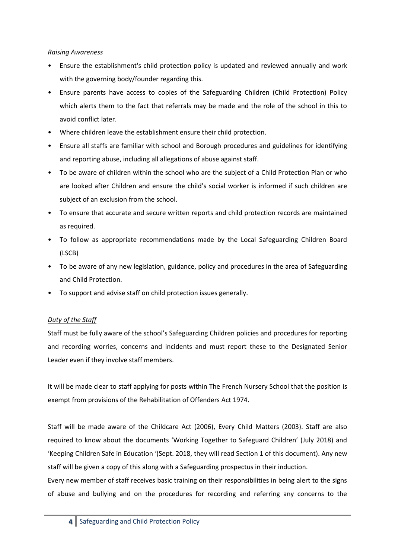#### *Raising Awareness*

- Ensure the establishment's child protection policy is updated and reviewed annually and work with the governing body/founder regarding this.
- Ensure parents have access to copies of the Safeguarding Children (Child Protection) Policy which alerts them to the fact that referrals may be made and the role of the school in this to avoid conflict later.
- Where children leave the establishment ensure their child protection.
- Ensure all staffs are familiar with school and Borough procedures and guidelines for identifying and reporting abuse, including all allegations of abuse against staff.
- To be aware of children within the school who are the subject of a Child Protection Plan or who are looked after Children and ensure the child's social worker is informed if such children are subject of an exclusion from the school.
- To ensure that accurate and secure written reports and child protection records are maintained as required.
- To follow as appropriate recommendations made by the Local Safeguarding Children Board (LSCB)
- To be aware of any new legislation, guidance, policy and procedures in the area of Safeguarding and Child Protection.
- To support and advise staff on child protection issues generally.

# *Duty of the Staff*

Staff must be fully aware of the school's Safeguarding Children policies and procedures for reporting and recording worries, concerns and incidents and must report these to the Designated Senior Leader even if they involve staff members.

It will be made clear to staff applying for posts within The French Nursery School that the position is exempt from provisions of the Rehabilitation of Offenders Act 1974.

Staff will be made aware of the Childcare Act (2006), Every Child Matters (2003). Staff are also required to know about the documents 'Working Together to Safeguard Children' (July 2018) and 'Keeping Children Safe in Education '(Sept. 2018, they will read Section 1 of this document). Any new staff will be given a copy of this along with a Safeguarding prospectus in their induction.

Every new member of staff receives basic training on their responsibilities in being alert to the signs of abuse and bullying and on the procedures for recording and referring any concerns to the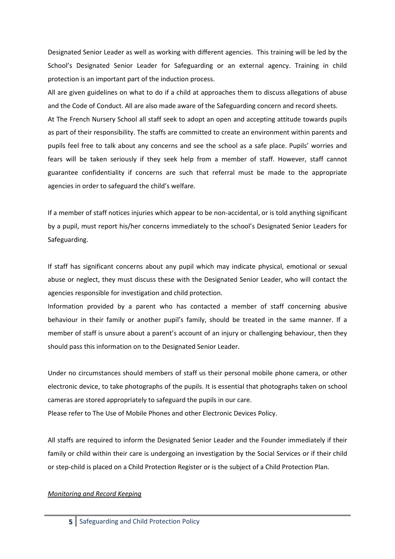Designated Senior Leader as well as working with different agencies. This training will be led by the School's Designated Senior Leader for Safeguarding or an external agency. Training in child protection is an important part of the induction process.

All are given guidelines on what to do if a child at approaches them to discuss allegations of abuse and the Code of Conduct. All are also made aware of the Safeguarding concern and record sheets.

At The French Nursery School all staff seek to adopt an open and accepting attitude towards pupils as part of their responsibility. The staffs are committed to create an environment within parents and pupils feel free to talk about any concerns and see the school as a safe place. Pupils' worries and fears will be taken seriously if they seek help from a member of staff. However, staff cannot guarantee confidentiality if concerns are such that referral must be made to the appropriate agencies in order to safeguard the child's welfare.

If a member of staff notices injuries which appear to be non-accidental, or is told anything significant by a pupil, must report his/her concerns immediately to the school's Designated Senior Leaders for Safeguarding.

If staff has significant concerns about any pupil which may indicate physical, emotional or sexual abuse or neglect, they must discuss these with the Designated Senior Leader, who will contact the agencies responsible for investigation and child protection.

Information provided by a parent who has contacted a member of staff concerning abusive behaviour in their family or another pupil's family, should be treated in the same manner. If a member of staff is unsure about a parent's account of an injury or challenging behaviour, then they should pass this information on to the Designated Senior Leader.

Under no circumstances should members of staff us their personal mobile phone camera, or other electronic device, to take photographs of the pupils. It is essential that photographs taken on school cameras are stored appropriately to safeguard the pupils in our care.

Please refer to The Use of Mobile Phones and other Electronic Devices Policy.

All staffs are required to inform the Designated Senior Leader and the Founder immediately if their family or child within their care is undergoing an investigation by the Social Services or if their child or step-child is placed on a Child Protection Register or is the subject of a Child Protection Plan.

#### *Monitoring and Record Keeping*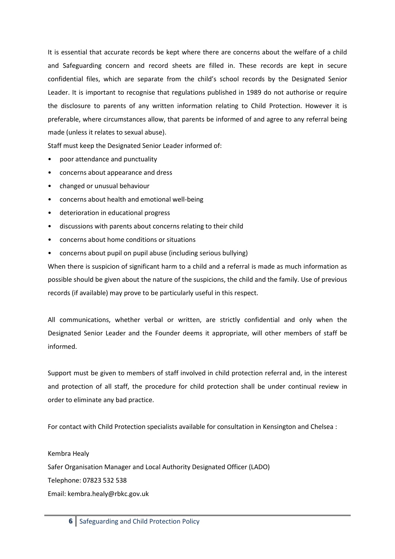It is essential that accurate records be kept where there are concerns about the welfare of a child and Safeguarding concern and record sheets are filled in. These records are kept in secure confidential files, which are separate from the child's school records by the Designated Senior Leader. It is important to recognise that regulations published in 1989 do not authorise or require the disclosure to parents of any written information relating to Child Protection. However it is preferable, where circumstances allow, that parents be informed of and agree to any referral being made (unless it relates to sexual abuse).

Staff must keep the Designated Senior Leader informed of:

- poor attendance and punctuality
- concerns about appearance and dress
- changed or unusual behaviour
- concerns about health and emotional well-being
- deterioration in educational progress
- discussions with parents about concerns relating to their child
- concerns about home conditions or situations
- concerns about pupil on pupil abuse (including serious bullying)

When there is suspicion of significant harm to a child and a referral is made as much information as possible should be given about the nature of the suspicions, the child and the family. Use of previous records (if available) may prove to be particularly useful in this respect.

All communications, whether verbal or written, are strictly confidential and only when the Designated Senior Leader and the Founder deems it appropriate, will other members of staff be informed.

Support must be given to members of staff involved in child protection referral and, in the interest and protection of all staff, the procedure for child protection shall be under continual review in order to eliminate any bad practice.

For contact with Child Protection specialists available for consultation in Kensington and Chelsea :

Kembra Healy Safer Organisation Manager and Local Authority Designated Officer (LADO) Telephone: 07823 532 538 Email: kembra.healy@rbkc.gov.uk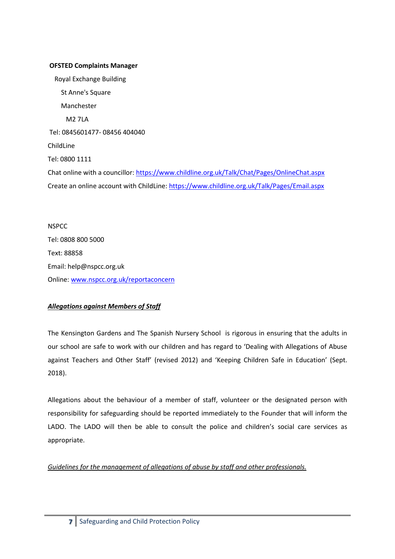## **OFSTED Complaints Manager**

 Royal Exchange Building St Anne's Square Manchester M2 7LA Tel: 0845601477- 08456 404040 ChildI ine Tel: 0800 1111 Chat online with a councillor:<https://www.childline.org.uk/Talk/Chat/Pages/OnlineChat.aspx> Create an online account with ChildLine[: https://www.childline.org.uk/Talk/Pages/Email.aspx](https://www.childline.org.uk/Talk/Pages/Email.aspx)

**NSPCC** Tel: 0808 800 5000 Text: 88858 Email: help@nspcc.org.uk Online: [www.nspcc.org.uk/reportaconcern](http://www.nspcc.org.uk/reportaconcern)

#### *Allegations against Members of Staff*

The Kensington Gardens and The Spanish Nursery School is rigorous in ensuring that the adults in our school are safe to work with our children and has regard to 'Dealing with Allegations of Abuse against Teachers and Other Staff' (revised 2012) and 'Keeping Children Safe in Education' (Sept. 2018).

Allegations about the behaviour of a member of staff, volunteer or the designated person with responsibility for safeguarding should be reported immediately to the Founder that will inform the LADO. The LADO will then be able to consult the police and children's social care services as appropriate.

*Guidelines for the management of allegations of abuse by staff and other professionals.*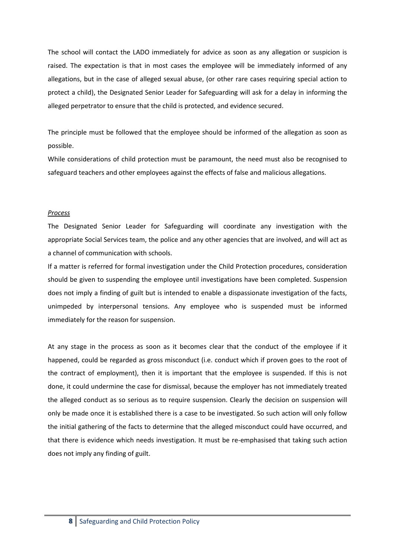The school will contact the LADO immediately for advice as soon as any allegation or suspicion is raised. The expectation is that in most cases the employee will be immediately informed of any allegations, but in the case of alleged sexual abuse, (or other rare cases requiring special action to protect a child), the Designated Senior Leader for Safeguarding will ask for a delay in informing the alleged perpetrator to ensure that the child is protected, and evidence secured.

The principle must be followed that the employee should be informed of the allegation as soon as possible.

While considerations of child protection must be paramount, the need must also be recognised to safeguard teachers and other employees against the effects of false and malicious allegations.

#### *Process*

The Designated Senior Leader for Safeguarding will coordinate any investigation with the appropriate Social Services team, the police and any other agencies that are involved, and will act as a channel of communication with schools.

If a matter is referred for formal investigation under the Child Protection procedures, consideration should be given to suspending the employee until investigations have been completed. Suspension does not imply a finding of guilt but is intended to enable a dispassionate investigation of the facts, unimpeded by interpersonal tensions. Any employee who is suspended must be informed immediately for the reason for suspension.

At any stage in the process as soon as it becomes clear that the conduct of the employee if it happened, could be regarded as gross misconduct (i.e. conduct which if proven goes to the root of the contract of employment), then it is important that the employee is suspended. If this is not done, it could undermine the case for dismissal, because the employer has not immediately treated the alleged conduct as so serious as to require suspension. Clearly the decision on suspension will only be made once it is established there is a case to be investigated. So such action will only follow the initial gathering of the facts to determine that the alleged misconduct could have occurred, and that there is evidence which needs investigation. It must be re-emphasised that taking such action does not imply any finding of guilt.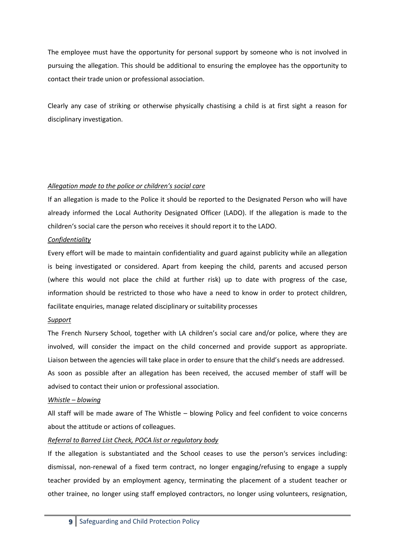The employee must have the opportunity for personal support by someone who is not involved in pursuing the allegation. This should be additional to ensuring the employee has the opportunity to contact their trade union or professional association.

Clearly any case of striking or otherwise physically chastising a child is at first sight a reason for disciplinary investigation.

## *Allegation made to the police or children's social care*

If an allegation is made to the Police it should be reported to the Designated Person who will have already informed the Local Authority Designated Officer (LADO). If the allegation is made to the children's social care the person who receives it should report it to the LADO.

## *Confidentiality*

Every effort will be made to maintain confidentiality and guard against publicity while an allegation is being investigated or considered. Apart from keeping the child, parents and accused person (where this would not place the child at further risk) up to date with progress of the case, information should be restricted to those who have a need to know in order to protect children, facilitate enquiries, manage related disciplinary or suitability processes

#### *Support*

The French Nursery School, together with LA children's social care and/or police, where they are involved, will consider the impact on the child concerned and provide support as appropriate. Liaison between the agencies will take place in order to ensure that the child's needs are addressed.

As soon as possible after an allegation has been received, the accused member of staff will be advised to contact their union or professional association.

#### *Whistle – blowing*

All staff will be made aware of The Whistle – blowing Policy and feel confident to voice concerns about the attitude or actions of colleagues.

# *Referral to Barred List Check, POCA list or regulatory body*

If the allegation is substantiated and the School ceases to use the person's services including: dismissal, non-renewal of a fixed term contract, no longer engaging/refusing to engage a supply teacher provided by an employment agency, terminating the placement of a student teacher or other trainee, no longer using staff employed contractors, no longer using volunteers, resignation,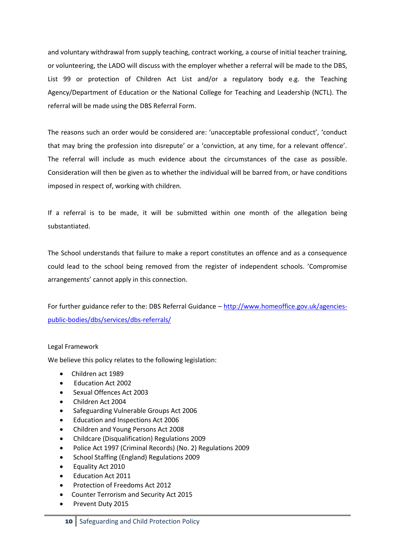and voluntary withdrawal from supply teaching, contract working, a course of initial teacher training, or volunteering, the LADO will discuss with the employer whether a referral will be made to the DBS, List 99 or protection of Children Act List and/or a regulatory body e.g. the Teaching Agency/Department of Education or the National College for Teaching and Leadership (NCTL). The referral will be made using the DBS Referral Form.

The reasons such an order would be considered are: 'unacceptable professional conduct', 'conduct that may bring the profession into disrepute' or a 'conviction, at any time, for a relevant offence'. The referral will include as much evidence about the circumstances of the case as possible. Consideration will then be given as to whether the individual will be barred from, or have conditions imposed in respect of, working with children.

If a referral is to be made, it will be submitted within one month of the allegation being substantiated.

The School understands that failure to make a report constitutes an offence and as a consequence could lead to the school being removed from the register of independent schools. 'Compromise arrangements' cannot apply in this connection.

For further guidance refer to the: DBS Referral Guidance – [http://www.homeoffice.gov.uk/agencies](http://www.homeoffice.gov.uk/agencies-public-bodies/dbs/services/dbs-referrals/)[public-bodies/dbs/services/dbs-referrals/](http://www.homeoffice.gov.uk/agencies-public-bodies/dbs/services/dbs-referrals/)

#### Legal Framework

We believe this policy relates to the following legislation:

- Children act 1989
- Education Act 2002
- Sexual Offences Act 2003
- Children Act 2004
- Safeguarding Vulnerable Groups Act 2006
- Education and Inspections Act 2006
- Children and Young Persons Act 2008
- Childcare (Disqualification) Regulations 2009
- Police Act 1997 (Criminal Records) (No. 2) Regulations 2009
- School Staffing (England) Regulations 2009
- Equality Act 2010
- Education Act 2011
- Protection of Freedoms Act 2012
- Counter Terrorism and Security Act 2015
- Prevent Duty 2015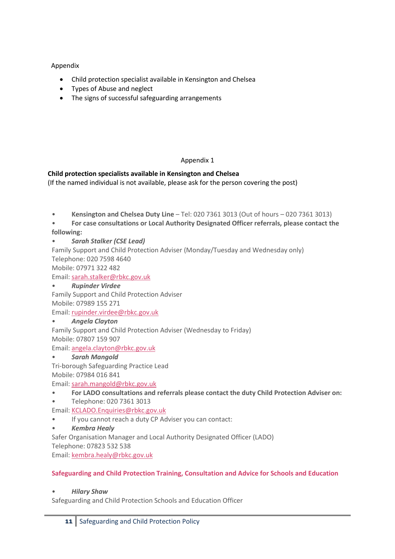Appendix

- Child protection specialist available in Kensington and Chelsea
- Types of Abuse and neglect
- The signs of successful safeguarding arrangements

## Appendix 1

## **Child protection specialists available in Kensington and Chelsea**

(If the named individual is not available, please ask for the person covering the post)

- **Kensington and Chelsea Duty Line** Tel: 020 7361 3013 (Out of hours 020 7361 3013)
- **For case consultations or Local Authority Designated Officer referrals, please contact the following:**
- *Sarah Stalker (CSE Lead)*

Family Support and Child Protection Adviser (Monday/Tuesday and Wednesday only) Telephone: 020 7598 4640 Mobile: 07971 322 482

Email: [sarah.stalker@rbkc.gov.uk](mailto:sarah.stalker@rbkc.gov.uk)

• *Rupinder Virdee*

Family Support and Child Protection Adviser

Mobile: 07989 155 271 Email: [rupinder.virdee@rbkc.gov.uk](mailto:rupinder.virdee@rbkc.gov.uk)

• *Angela Clayton*

Family Support and Child Protection Adviser (Wednesday to Friday) Mobile: 07807 159 907

Email: [angela.clayton@rbkc.gov.uk](mailto:angela.clayton@rbkc.gov.uk)

• *Sarah Mangold*

Tri-borough Safeguarding Practice Lead Mobile: 07984 016 841

Email: [sarah.mangold@rbkc.gov.uk](mailto:sarah.mangold@rbkc.gov.uk)

- **For LADO consultations and referrals please contact the duty Child Protection Adviser on:**
- Telephone: 020 7361 3013

Email: [KCLADO.Enquiries@rbkc.gov.uk](mailto:KCLADO.Enquiries@rbkc.gov.uk)

- If you cannot reach a duty CP Adviser you can contact:
- *Kembra Healy*

Safer Organisation Manager and Local Authority Designated Officer (LADO) Telephone: 07823 532 538 Email: [kembra.healy@rbkc.gov.uk](mailto:kembra.healy@rbkc.gov.uk)

# **Safeguarding and Child Protection Training, Consultation and Advice for Schools and Education**

• *Hilary Shaw*

Safeguarding and Child Protection Schools and Education Officer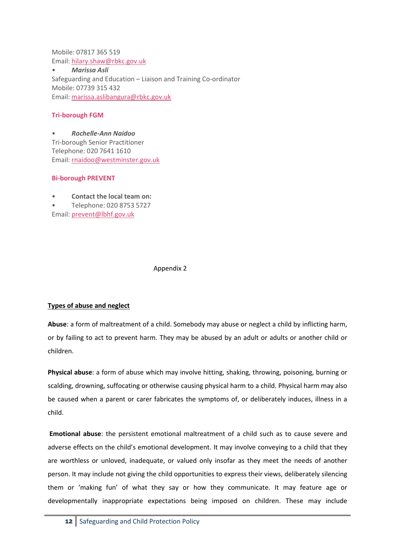Mobile: 07817 365 519 Email: [hilary.shaw@rbkc.gov.uk](mailto:hilary.shaw@rbkc.gov.uk)

• *Marissa Asli* Safeguarding and Education – Liaison and Training Co-ordinator Mobile: 07739 315 432 Email: [marissa.aslibangura@rbkc.gov.uk](mailto:marissa.aslibangura@rbkc.gov.uk)

## **Tri-borough FGM**

• *Rochelle-Ann Naidoo* Tri-borough Senior Practitioner Telephone: 020 7641 1610 Email: [rnaidoo@westminster.gov.uk](mailto:rnaidoo@westminster.gov.uk)

#### **Bi-borough PREVENT**

• **Contact the local team on:**

• Telephone: 020 8753 5727 Email: [prevent@lbhf.gov.uk](mailto:prevent@lbhf.gov.uk)

Appendix 2

#### **Types of abuse and neglect**

**Abuse**: a form of maltreatment of a child. Somebody may abuse or neglect a child by inflicting harm, or by failing to act to prevent harm. They may be abused by an adult or adults or another child or children.

**Physical abuse**: a form of abuse which may involve hitting, shaking, throwing, poisoning, burning or scalding, drowning, suffocating or otherwise causing physical harm to a child. Physical harm may also be caused when a parent or carer fabricates the symptoms of, or deliberately induces, illness in a child.

**Emotional abuse**: the persistent emotional maltreatment of a child such as to cause severe and adverse effects on the child's emotional development. It may involve conveying to a child that they are worthless or unloved, inadequate, or valued only insofar as they meet the needs of another person. It may include not giving the child opportunities to express their views, deliberately silencing them or 'making fun' of what they say or how they communicate. It may feature age or developmentally inappropriate expectations being imposed on children. These may include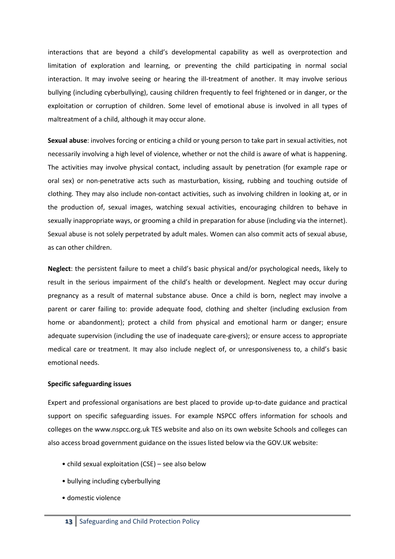interactions that are beyond a child's developmental capability as well as overprotection and limitation of exploration and learning, or preventing the child participating in normal social interaction. It may involve seeing or hearing the ill-treatment of another. It may involve serious bullying (including cyberbullying), causing children frequently to feel frightened or in danger, or the exploitation or corruption of children. Some level of emotional abuse is involved in all types of maltreatment of a child, although it may occur alone.

**Sexual abuse**: involves forcing or enticing a child or young person to take part in sexual activities, not necessarily involving a high level of violence, whether or not the child is aware of what is happening. The activities may involve physical contact, including assault by penetration (for example rape or oral sex) or non-penetrative acts such as masturbation, kissing, rubbing and touching outside of clothing. They may also include non-contact activities, such as involving children in looking at, or in the production of, sexual images, watching sexual activities, encouraging children to behave in sexually inappropriate ways, or grooming a child in preparation for abuse (including via the internet). Sexual abuse is not solely perpetrated by adult males. Women can also commit acts of sexual abuse, as can other children.

**Neglect**: the persistent failure to meet a child's basic physical and/or psychological needs, likely to result in the serious impairment of the child's health or development. Neglect may occur during pregnancy as a result of maternal substance abuse. Once a child is born, neglect may involve a parent or carer failing to: provide adequate food, clothing and shelter (including exclusion from home or abandonment); protect a child from physical and emotional harm or danger; ensure adequate supervision (including the use of inadequate care-givers); or ensure access to appropriate medical care or treatment. It may also include neglect of, or unresponsiveness to, a child's basic emotional needs.

#### **Specific safeguarding issues**

Expert and professional organisations are best placed to provide up-to-date guidance and practical support on specific safeguarding issues. For example NSPCC offers information for schools and colleges on the www.nspcc.org.uk TES website and also on its own website Schools and colleges can also access broad government guidance on the issues listed below via the GOV.UK website:

- child sexual exploitation (CSE) see also below
- bullying including cyberbullying
- domestic violence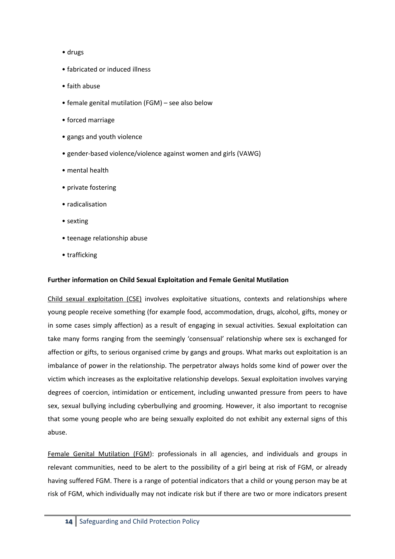- drugs
- fabricated or induced illness
- faith abuse
- female genital mutilation (FGM) see also below
- forced marriage
- gangs and youth violence
- gender-based violence/violence against women and girls (VAWG)
- mental health
- private fostering
- radicalisation
- sexting
- teenage relationship abuse
- trafficking

#### **Further information on Child Sexual Exploitation and Female Genital Mutilation**

Child sexual exploitation (CSE) involves exploitative situations, contexts and relationships where young people receive something (for example food, accommodation, drugs, alcohol, gifts, money or in some cases simply affection) as a result of engaging in sexual activities. Sexual exploitation can take many forms ranging from the seemingly 'consensual' relationship where sex is exchanged for affection or gifts, to serious organised crime by gangs and groups. What marks out exploitation is an imbalance of power in the relationship. The perpetrator always holds some kind of power over the victim which increases as the exploitative relationship develops. Sexual exploitation involves varying degrees of coercion, intimidation or enticement, including unwanted pressure from peers to have sex, sexual bullying including cyberbullying and grooming. However, it also important to recognise that some young people who are being sexually exploited do not exhibit any external signs of this abuse.

Female Genital Mutilation (FGM): professionals in all agencies, and individuals and groups in relevant communities, need to be alert to the possibility of a girl being at risk of FGM, or already having suffered FGM. There is a range of potential indicators that a child or young person may be at risk of FGM, which individually may not indicate risk but if there are two or more indicators present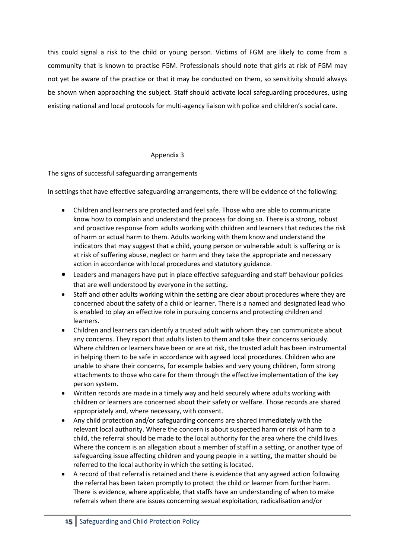this could signal a risk to the child or young person. Victims of FGM are likely to come from a community that is known to practise FGM. Professionals should note that girls at risk of FGM may not yet be aware of the practice or that it may be conducted on them, so sensitivity should always be shown when approaching the subject. Staff should activate local safeguarding procedures, using existing national and local protocols for multi-agency liaison with police and children's social care.

# Appendix 3

The signs of successful safeguarding arrangements

In settings that have effective safeguarding arrangements, there will be evidence of the following:

- Children and learners are protected and feel safe. Those who are able to communicate know how to complain and understand the process for doing so. There is a strong, robust and proactive response from adults working with children and learners that reduces the risk of harm or actual harm to them. Adults working with them know and understand the indicators that may suggest that a child, young person or vulnerable adult is suffering or is at risk of suffering abuse, neglect or harm and they take the appropriate and necessary action in accordance with local procedures and statutory guidance.
- Leaders and managers have put in place effective safeguarding and staff behaviour policies that are well understood by everyone in the setting.
- Staff and other adults working within the setting are clear about procedures where they are concerned about the safety of a child or learner. There is a named and designated lead who is enabled to play an effective role in pursuing concerns and protecting children and learners.
- Children and learners can identify a trusted adult with whom they can communicate about any concerns. They report that adults listen to them and take their concerns seriously. Where children or learners have been or are at risk, the trusted adult has been instrumental in helping them to be safe in accordance with agreed local procedures. Children who are unable to share their concerns, for example babies and very young children, form strong attachments to those who care for them through the effective implementation of the key person system.
- Written records are made in a timely way and held securely where adults working with children or learners are concerned about their safety or welfare. Those records are shared appropriately and, where necessary, with consent.
- Any child protection and/or safeguarding concerns are shared immediately with the relevant local authority. Where the concern is about suspected harm or risk of harm to a child, the referral should be made to the local authority for the area where the child lives. Where the concern is an allegation about a member of staff in a setting, or another type of safeguarding issue affecting children and young people in a setting, the matter should be referred to the local authority in which the setting is located.
- A record of that referral is retained and there is evidence that any agreed action following the referral has been taken promptly to protect the child or learner from further harm. There is evidence, where applicable, that staffs have an understanding of when to make referrals when there are issues concerning sexual exploitation, radicalisation and/or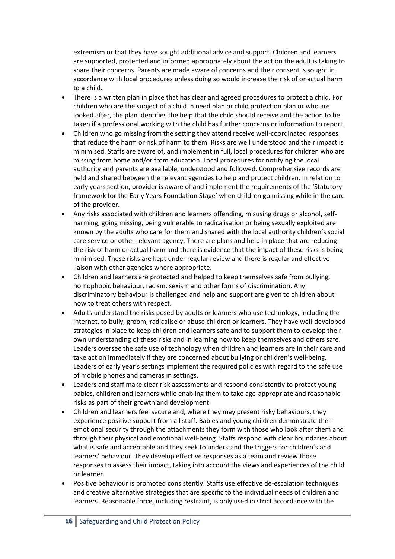extremism or that they have sought additional advice and support. Children and learners are supported, protected and informed appropriately about the action the adult is taking to share their concerns. Parents are made aware of concerns and their consent is sought in accordance with local procedures unless doing so would increase the risk of or actual harm to a child.

- There is a written plan in place that has clear and agreed procedures to protect a child. For children who are the subject of a child in need plan or child protection plan or who are looked after, the plan identifies the help that the child should receive and the action to be taken if a professional working with the child has further concerns or information to report.
- Children who go missing from the setting they attend receive well-coordinated responses that reduce the harm or risk of harm to them. Risks are well understood and their impact is minimised. Staffs are aware of, and implement in full, local procedures for children who are missing from home and/or from education. Local procedures for notifying the local authority and parents are available, understood and followed. Comprehensive records are held and shared between the relevant agencies to help and protect children. In relation to early years section, provider is aware of and implement the requirements of the 'Statutory framework for the Early Years Foundation Stage' when children go missing while in the care of the provider.
- Any risks associated with children and learners offending, misusing drugs or alcohol, selfharming, going missing, being vulnerable to radicalisation or being sexually exploited are known by the adults who care for them and shared with the local authority children's social care service or other relevant agency. There are plans and help in place that are reducing the risk of harm or actual harm and there is evidence that the impact of these risks is being minimised. These risks are kept under regular review and there is regular and effective liaison with other agencies where appropriate.
- Children and learners are protected and helped to keep themselves safe from bullying, homophobic behaviour, racism, sexism and other forms of discrimination. Any discriminatory behaviour is challenged and help and support are given to children about how to treat others with respect.
- Adults understand the risks posed by adults or learners who use technology, including the internet, to bully, groom, radicalise or abuse children or learners. They have well-developed strategies in place to keep children and learners safe and to support them to develop their own understanding of these risks and in learning how to keep themselves and others safe. Leaders oversee the safe use of technology when children and learners are in their care and take action immediately if they are concerned about bullying or children's well-being. Leaders of early year's settings implement the required policies with regard to the safe use of mobile phones and cameras in settings.
- Leaders and staff make clear risk assessments and respond consistently to protect young babies, children and learners while enabling them to take age-appropriate and reasonable risks as part of their growth and development.
- Children and learners feel secure and, where they may present risky behaviours, they experience positive support from all staff. Babies and young children demonstrate their emotional security through the attachments they form with those who look after them and through their physical and emotional well-being. Staffs respond with clear boundaries about what is safe and acceptable and they seek to understand the triggers for children's and learners' behaviour. They develop effective responses as a team and review those responses to assess their impact, taking into account the views and experiences of the child or learner.
- Positive behaviour is promoted consistently. Staffs use effective de-escalation techniques and creative alternative strategies that are specific to the individual needs of children and learners. Reasonable force, including restraint, is only used in strict accordance with the